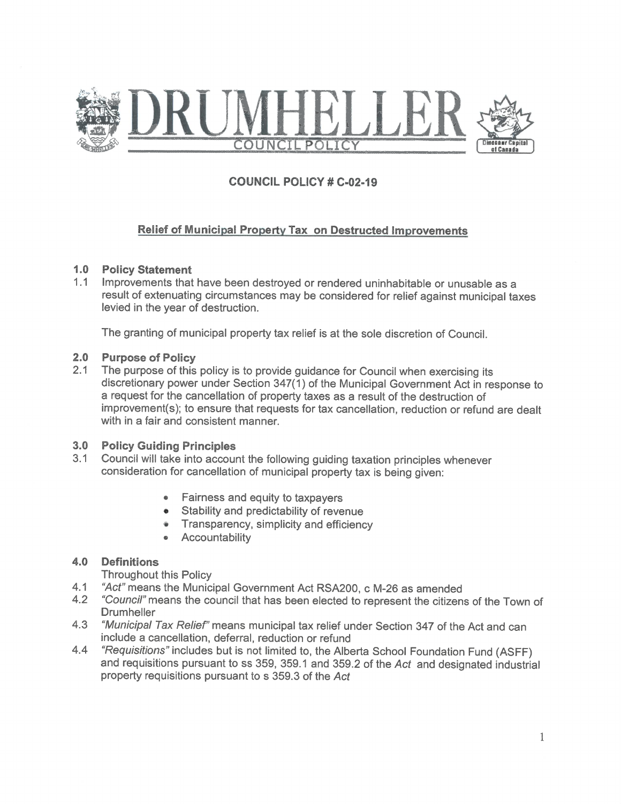

# **COUNCIL POLICY # C-02-19**

## **Relief of Municipal Property Tax on Destructed Improvements**

#### 1.0 Policy Statement

1.1 Improvements that have been destroyed or rendered uninhabitable or unusable as a result of extenuating circumstances may be considered for relief against municipal taxes levied in the year of destruction.

The granting of municipal property tax relief is at the sole discretion of Council.

#### $2.0$ **Purpose of Policy**

 $2.1$ The purpose of this policy is to provide guidance for Council when exercising its discretionary power under Section 347(1) of the Municipal Government Act in response to a request for the cancellation of property taxes as a result of the destruction of improvement(s); to ensure that requests for tax cancellation, reduction or refund are dealt with in a fair and consistent manner.

#### 3.0 Policy Guiding Principles

- 3.1 Council will take into account the following quiding taxation principles whenever consideration for cancellation of municipal property tax is being given:
	- Fairness and equity to taxpayers
	- Stability and predictability of revenue
	- Transparency, simplicity and efficiency
	- Accountability

#### $4.0$ **Definitions**

**Throughout this Policy** 

- "Act" means the Municipal Government Act RSA200, c M-26 as amended  $4.1$
- "Council" means the council that has been elected to represent the citizens of the Town of  $4.2$ **Drumheller**
- 4.3 "Municipal Tax Relief" means municipal tax relief under Section 347 of the Act and can include a cancellation, deferral, reduction or refund
- "Requisitions" includes but is not limited to, the Alberta School Foundation Fund (ASFF) 4.4 and requisitions pursuant to ss 359, 359.1 and 359.2 of the Act and designated industrial property requisitions pursuant to s 359.3 of the Act